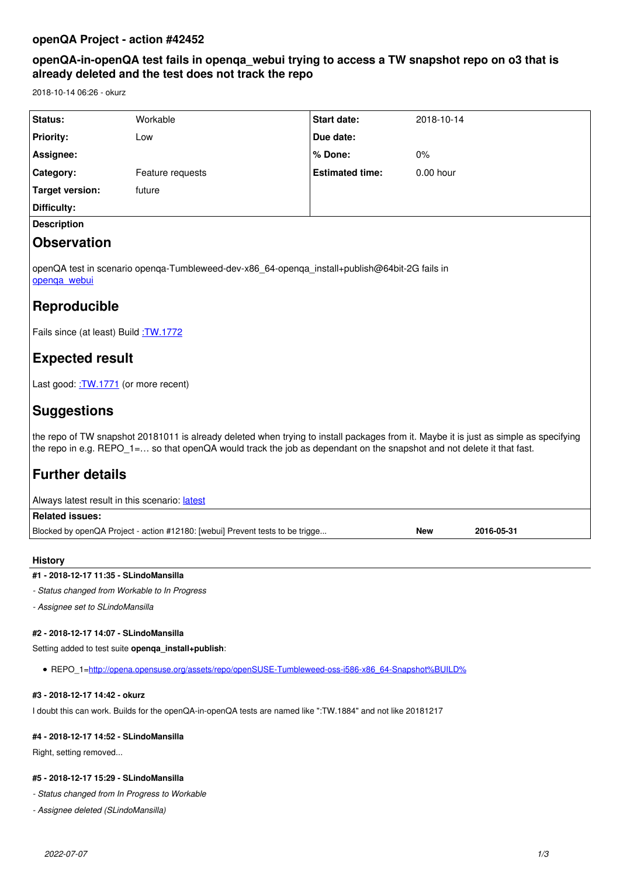# **openQA-in-openQA test fails in openqa\_webui trying to access a TW snapshot repo on o3 that is already deleted and the test does not track the repo**

2018-10-14 06:26 - okurz

| <b>Status:</b>     | Workable         | Start date:            | 2018-10-14  |
|--------------------|------------------|------------------------|-------------|
| <b>Priority:</b>   | Low              | Due date:              |             |
| Assignee:          |                  | % Done:                | $0\%$       |
| <b>Category:</b>   | Feature requests | <b>Estimated time:</b> | $0.00$ hour |
| Target version:    | future           |                        |             |
| Difficulty:        |                  |                        |             |
| <b>Description</b> |                  |                        |             |
| <b>Observation</b> |                  |                        |             |
|                    |                  |                        |             |

openQA test in scenario openqa-Tumbleweed-dev-x86\_64-openqa\_install+publish@64bit-2G fails in openga\_webui

# **Reproducible**

Fails since (at least) Build : TW.1772

# **Expected result**

Last good: : TW.1771 (or more recent)

# **Suggestions**

the repo of TW snapshot 20181011 is already deleted when trying to install packages from it. Maybe it is just as simple as specifying the repo in e.g. REPO\_1=… so that openQA would track the job as dependant on the snapshot and not delete it that fast.

# **Further details**

| Always latest result in this scenario: latest                                 |     |            |  |  |  |
|-------------------------------------------------------------------------------|-----|------------|--|--|--|
| Related issues:                                                               |     |            |  |  |  |
| Blocked by openQA Project - action #12180: [webui] Prevent tests to be trigge | New | 2016-05-31 |  |  |  |

## **History**

## **#1 - 2018-12-17 11:35 - SLindoMansilla**

*- Status changed from Workable to In Progress*

*- Assignee set to SLindoMansilla*

## **#2 - 2018-12-17 14:07 - SLindoMansilla**

Setting added to test suite **openga\_install+publish**:

REPO\_1[=http://opena.opensuse.org/assets/repo/openSUSE-Tumbleweed-oss-i586-x86\\_64-Snapshot%BUILD%](http://opena.opensuse.org/assets/repo/openSUSE-Tumbleweed-oss-i586-x86_64-Snapshot%BUILD%)

### **#3 - 2018-12-17 14:42 - okurz**

I doubt this can work. Builds for the openQA-in-openQA tests are named like ":TW.1884" and not like 20181217

# **#4 - 2018-12-17 14:52 - SLindoMansilla**

Right, setting removed...

## **#5 - 2018-12-17 15:29 - SLindoMansilla**

*- Status changed from In Progress to Workable*

*- Assignee deleted (SLindoMansilla)*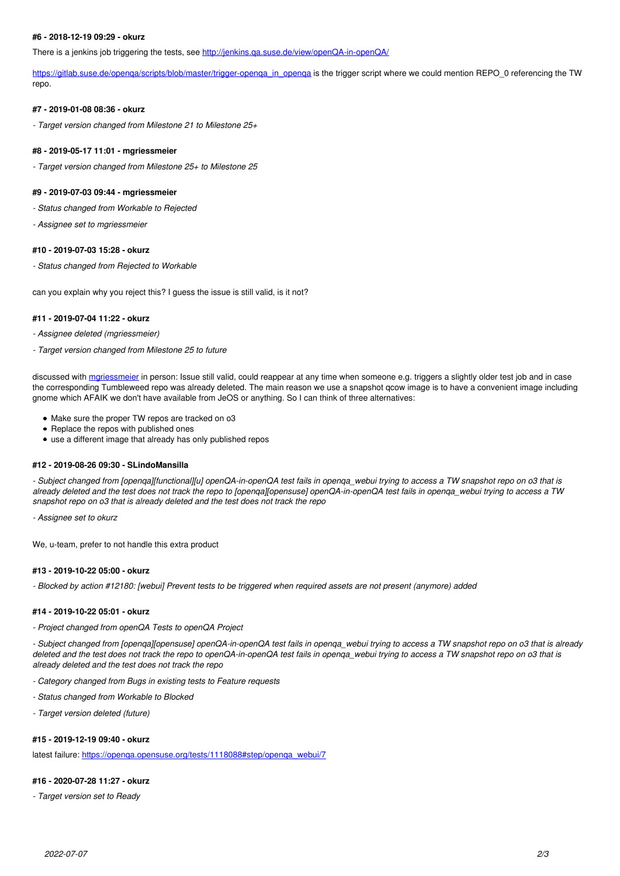### **#6 - 2018-12-19 09:29 - okurz**

There is a jenkins job triggering the tests, see<http://jenkins.qa.suse.de/view/openQA-in-openQA/>

https://gitlab.suse.de/openqa/scripts/blob/master/trigger-openqa\_in\_openqa</u> is the trigger script where we could mention REPO\_0 referencing the TW repo.

### **#7 - 2019-01-08 08:36 - okurz**

*- Target version changed from Milestone 21 to Milestone 25+*

#### **#8 - 2019-05-17 11:01 - mgriessmeier**

*- Target version changed from Milestone 25+ to Milestone 25*

#### **#9 - 2019-07-03 09:44 - mgriessmeier**

*- Status changed from Workable to Rejected*

*- Assignee set to mgriessmeier*

#### **#10 - 2019-07-03 15:28 - okurz**

*- Status changed from Rejected to Workable*

can you explain why you reject this? I guess the issue is still valid, is it not?

#### **#11 - 2019-07-04 11:22 - okurz**

*- Assignee deleted (mgriessmeier)*

*- Target version changed from Milestone 25 to future*

discussed with mariessmeier in person: Issue still valid, could reappear at any time when someone e.g. triggers a slightly older test job and in case the corresponding Tumbleweed repo was already deleted. The main reason we use a snapshot qcow image is to have a convenient image including gnome which AFAIK we don't have available from JeOS or anything. So I can think of three alternatives:

- Make sure the proper TW repos are tracked on o3
- Replace the repos with published ones
- use a different image that already has only published repos

#### **#12 - 2019-08-26 09:30 - SLindoMansilla**

*- Subject changed from [openqa][functional][u] openQA-in-openQA test fails in openqa\_webui trying to access a TW snapshot repo on o3 that is already deleted and the test does not track the repo to [openqa][opensuse] openQA-in-openQA test fails in openqa\_webui trying to access a TW snapshot repo on o3 that is already deleted and the test does not track the repo*

*- Assignee set to okurz*

We, u-team, prefer to not handle this extra product

#### **#13 - 2019-10-22 05:00 - okurz**

*- Blocked by action #12180: [webui] Prevent tests to be triggered when required assets are not present (anymore) added*

#### **#14 - 2019-10-22 05:01 - okurz**

*- Project changed from openQA Tests to openQA Project*

*- Subject changed from [openqa][opensuse] openQA-in-openQA test fails in openqa\_webui trying to access a TW snapshot repo on o3 that is already deleted and the test does not track the repo to openQA-in-openQA test fails in openqa\_webui trying to access a TW snapshot repo on o3 that is already deleted and the test does not track the repo*

- *Category changed from Bugs in existing tests to Feature requests*
- *Status changed from Workable to Blocked*
- *Target version deleted (future)*

#### **#15 - 2019-12-19 09:40 - okurz**

latest failure: [https://openqa.opensuse.org/tests/1118088#step/openqa\\_webui/7](https://openqa.opensuse.org/tests/1118088#step/openqa_webui/7)

## **#16 - 2020-07-28 11:27 - okurz**

*- Target version set to Ready*